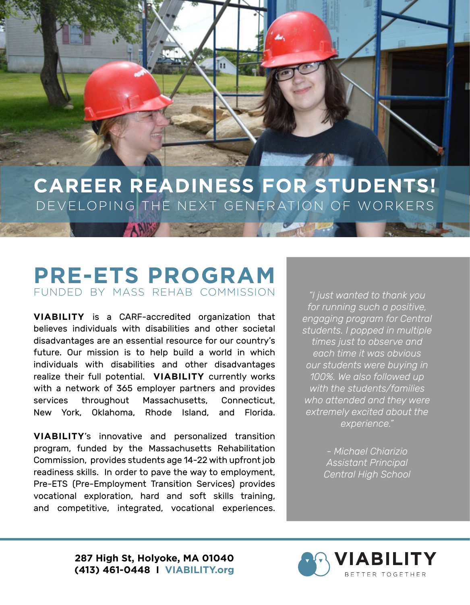**CAREER READINESS FOR STUDENTS!** DEVELOPING THE NEXT GENERATION OF WORKERS

## **PRE-ETS PROGRAM** FUNDED BY MASS REHAB COMMISSION

ANIM

**VIABILITY** is a CARF-accredited organization that believes individuals with disabilities and other societal disadvantages are an essential resource for our country's future. Our mission is to help build a world in which individuals with disabilities and other disadvantages realize their full potential. **VIABILITY** currently works with a network of 365 employer partners and provides services throughout Massachusetts, Connecticut, New York, Oklahoma, Rhode Island, and Florida.

**VIABILITY**'s innovative and personalized transition program, funded by the Massachusetts Rehabilitation Commission, provides students age 14-22 with upfront job readiness skills. In order to pave the way to employment, Pre-ETS (Pre-Employment Transition Services) provides vocational exploration, hard and soft skills training, and competitive, integrated, vocational experiences.

*"I just wanted to thank you for running such a positive, engaging program for Central students. I popped in multiple times just to observe and each time it was obvious our students were buying in 100%. We also followed up with the students/families who attended and they were extremely excited about the experience."*

> *- Michael Chiarizio Assistant Principal Central High School*

**287 High St, Holyoke, MA 01040 (413) 461-0448 I VIABILITY.org**